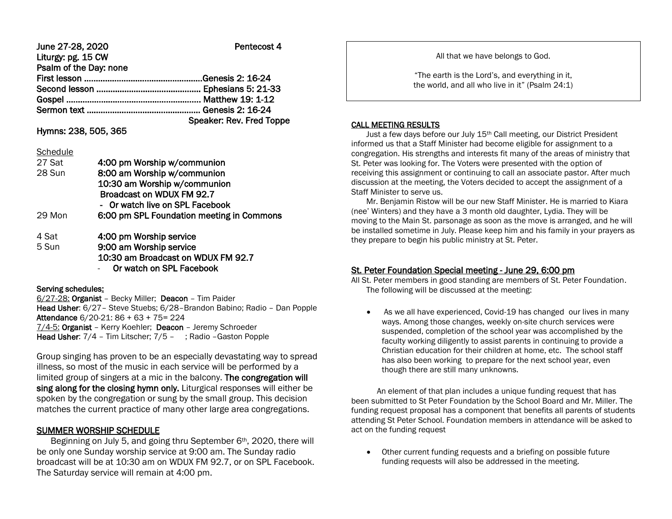| June 27-28, 2020       | Pentecost 4              |
|------------------------|--------------------------|
| Liturgy: pg. 15 CW     |                          |
| Psalm of the Day: none |                          |
|                        |                          |
|                        |                          |
|                        |                          |
|                        |                          |
|                        | Speaker: Rev. Fred Toppe |

# Hymns: 238, 505, 365

#### **Schedule**

| 27 Sat | 4:00 pm Worship w/communion               |
|--------|-------------------------------------------|
| 28 Sun | 8:00 am Worship w/communion               |
|        | 10:30 am Worship w/communion              |
|        | Broadcast on WDUX FM 92.7                 |
|        | Or watch live on SPL Facebook             |
| 29 Mon | 6:00 pm SPL Foundation meeting in Commons |
| 4 Sat  | 4:00 pm Worship service                   |
| 5 Sun  | 9:00 am Worship service                   |
|        | 10:30 am Broadcast on WDUX FM 92.7        |
|        | Or watch on SPL Facebook                  |

## Serving schedules:

6/27-28: Organist – Becky Miller; Deacon – Tim Paider Head Usher: 6/27– Steve Stuebs; 6/28–Brandon Babino; Radio – Dan Popple Attendance 6/20-21: 86 + 63 + 75= 224 7/4-5: Organist – Kerry Koehler; Deacon – Jeremy Schroeder Head Usher: 7/4 – Tim Litscher; 7/5 – ; Radio –Gaston Popple

Group singing has proven to be an especially devastating way to spread illness, so most of the music in each service will be performed by a limited group of singers at a mic in the balcony. The congregation will sing along for the closing hymn only. Liturgical responses will either be spoken by the congregation or sung by the small group. This decision matches the current practice of many other large area congregations.

# SUMMER WORSHIP SCHEDULE

 Beginning on July 5, and going thru September 6th, 2020, there will be only one Sunday worship service at 9:00 am. The Sunday radio broadcast will be at 10:30 am on WDUX FM 92.7, or on SPL Facebook. The Saturday service will remain at 4:00 pm.

All that we have belongs to God.

"The earth is the Lord's, and everything in it, the world, and all who live in it" (Psalm 24:1)

## CALL MEETING RESULTS

I

Just a few days before our July 15<sup>th</sup> Call meeting, our District President informed us that a Staff Minister had become eligible for assignment to a congregation. His strengths and interests fit many of the areas of ministry that St. Peter was looking for. The Voters were presented with the option of receiving this assignment or continuing to call an associate pastor. After much discussion at the meeting, the Voters decided to accept the assignment of a Staff Minister to serve us.

 Mr. Benjamin Ristow will be our new Staff Minister. He is married to Kiara (nee' Winters) and they have a 3 month old daughter, Lydia. They will be moving to the Main St. parsonage as soon as the move is arranged, and he will be installed sometime in July. Please keep him and his family in your prayers as they prepare to begin his public ministry at St. Peter.

# St. Peter Foundation Special meeting - June 29, 6:00 pm

All St. Peter members in good standing are members of St. Peter Foundation. The following will be discussed at the meeting:

 As we all have experienced, Covid-19 has changed our lives in many ways. Among those changes, weekly on-site church services were suspended, completion of the school year was accomplished by the faculty working diligently to assist parents in continuing to provide a Christian education for their children at home, etc. The school staff has also been working to prepare for the next school year, even though there are still many unknowns.

 An element of that plan includes a unique funding request that has been submitted to St Peter Foundation by the School Board and Mr. Miller. The funding request proposal has a component that benefits all parents of students attending St Peter School. Foundation members in attendance will be asked to act on the funding request

 Other current funding requests and a briefing on possible future funding requests will also be addressed in the meeting.